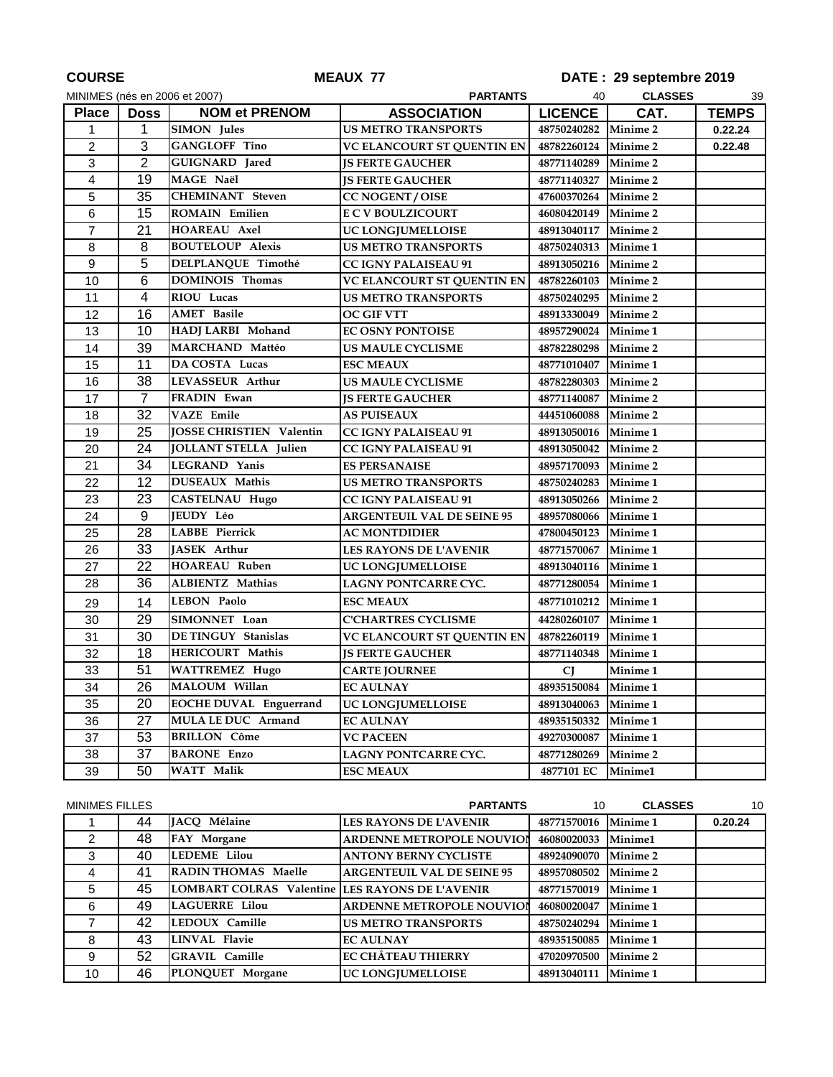| <b>COURSE</b>  |                | <b>MEAUX 77</b>                 | DATE: 29 septembre 2019           |                      |                     |              |
|----------------|----------------|---------------------------------|-----------------------------------|----------------------|---------------------|--------------|
|                |                | MINIMES (nés en 2006 et 2007)   | <b>CLASSES</b><br>40<br>39        |                      |                     |              |
| <b>Place</b>   | <b>Doss</b>    | <b>NOM et PRENOM</b>            | <b>ASSOCIATION</b>                | <b>LICENCE</b>       | CAT.                | <b>TEMPS</b> |
| 1              | $\mathbf{1}$   | <b>SIMON</b> Jules              | <b>US METRO TRANSPORTS</b>        | 48750240282 Minime 2 |                     | 0.22.24      |
| $\overline{c}$ | $\overline{3}$ | <b>GANGLOFF Tino</b>            | <b>VC ELANCOURT ST QUENTIN EN</b> | 48782260124          | <b>Minime 2</b>     | 0.22.48      |
| $\mathfrak{S}$ | $\overline{2}$ | GUIGNARD Jared                  | <b>JS FERTE GAUCHER</b>           | 48771140289          | <b>Minime 2</b>     |              |
| $\overline{4}$ | 19             | MAGE Naël                       | <b>JS FERTE GAUCHER</b>           | 48771140327          | Minime <sub>2</sub> |              |
| 5              | 35             | <b>CHEMINANT</b> Steven         | <b>CC NOGENT / OISE</b>           | 47600370264          | <b>Minime 2</b>     |              |
| 6              | 15             | <b>ROMAIN Emilien</b>           | <b>E C V BOULZICOURT</b>          | 46080420149          | Minime 2            |              |
| $\overline{7}$ | 21             | <b>HOAREAU Axel</b>             | UC LONGJUMELLOISE                 | 48913040117          | <b>Minime 2</b>     |              |
| 8              | 8              | <b>BOUTELOUP Alexis</b>         | <b>US METRO TRANSPORTS</b>        | 48750240313          | Minime 1            |              |
| 9              | 5              | DELPLANQUE Timothé              | <b>CC IGNY PALAISEAU 91</b>       | 48913050216          | <b>Minime 2</b>     |              |
| 10             | 6              | <b>DOMINOIS Thomas</b>          | VC ELANCOURT ST QUENTIN EN        | 48782260103          | <b>Minime 2</b>     |              |
| 11             | 4              | RIOU Lucas                      | <b>US METRO TRANSPORTS</b>        | 48750240295          | <b>Minime 2</b>     |              |
| 12             | 16             | <b>AMET</b> Basile              | OC GIF VTT                        | 48913330049          | Minime 2            |              |
| 13             | 10             | HADJ LARBI Mohand               | EC OSNY PONTOISE                  | 48957290024          | Minime 1            |              |
| 14             | 39             | <b>MARCHAND Mattéo</b>          | US MAULE CYCLISME                 | 48782280298          | Minime 2            |              |
| 15             | 11             | DA COSTA Lucas                  | <b>ESC MEAUX</b>                  | 48771010407          | Minime 1            |              |
| 16             | 38             | <b>LEVASSEUR Arthur</b>         | <b>US MAULE CYCLISME</b>          | 48782280303          | Minime 2            |              |
| 17             | $\overline{7}$ | FRADIN Ewan                     | <b>JS FERTE GAUCHER</b>           | 48771140087          | Minime <sub>2</sub> |              |
| 18             | 32             | <b>VAZE</b> Emile               | <b>AS PUISEAUX</b>                | 44451060088          | <b>Minime 2</b>     |              |
| 19             | 25             | <b>JOSSE CHRISTIEN Valentin</b> | CC IGNY PALAISEAU 91              | 48913050016          | Minime 1            |              |
| 20             | 24             | <b>JOLLANT STELLA Julien</b>    | <b>CC IGNY PALAISEAU 91</b>       | 48913050042          | <b>Minime 2</b>     |              |
| 21             | 34             | LEGRAND Yanis                   | <b>ES PERSANAISE</b>              | 48957170093          | Minime <sub>2</sub> |              |
| 22             | 12             | <b>DUSEAUX</b> Mathis           | <b>US METRO TRANSPORTS</b>        | 48750240283          | Minime 1            |              |
| 23             | 23             | <b>CASTELNAU Hugo</b>           | <b>CC IGNY PALAISEAU 91</b>       | 48913050266          | <b>Minime 2</b>     |              |
| 24             | $\overline{9}$ | <b>JEUDY Léo</b>                | <b>ARGENTEUIL VAL DE SEINE 95</b> | 48957080066          | Minime 1            |              |
| 25             | 28             | <b>LABBE</b> Pierrick           | AC MONTDIDIER                     | 47800450123          | Minime 1            |              |
| 26             | 33             | <b>JASEK</b> Arthur             | LES RAYONS DE L'AVENIR            | 48771570067          | Minime 1            |              |
| 27             | 22             | <b>HOAREAU Ruben</b>            | UC LONGJUMELLOISE                 | 48913040116          | Minime 1            |              |
| 28             | 36             | ALBIENTZ Mathias                | LAGNY PONTCARRE CYC.              | 48771280054          | Minime 1            |              |
| 29             | 14             | <b>LEBON Paolo</b>              | <b>ESC MEAUX</b>                  | 48771010212          | Minime 1            |              |
| 30             | 29             | SIMONNET Loan                   | <b>C'CHARTRES CYCLISME</b>        | 44280260107          | <b>Minime 1</b>     |              |
| 31             | 30             | DE TINGUY Stanislas             | VC ELANCOURT ST QUENTIN EN        | 48782260119          | <b>Minime 1</b>     |              |
| 32             | 18             | HERICOURT Mathis                | <b>JS FERTE GAUCHER</b>           | 48771140348          | Minime 1            |              |
| 33             | 51             | <b>WATTREMEZ Hugo</b>           | <b>CARTE JOURNEE</b>              | <b>CJ</b>            | Minime 1            |              |
| 34             | 26             | MALOUM Willan                   | <b>EC AULNAY</b>                  | 48935150084          | Minime 1            |              |
| 35             | 20             | <b>EOCHE DUVAL Enguerrand</b>   | UC LONGJUMELLOISE                 | 48913040063          | Minime 1            |              |
| 36             | 27             | MULA LE DUC Armand              | <b>EC AULNAY</b>                  | 48935150332          | Minime 1            |              |
| 37             | 53             | <b>BRILLON Côme</b>             | <b>VC PACEEN</b>                  | 49270300087          | Minime 1            |              |
| 38             | 37             | <b>BARONE Enzo</b>              | LAGNY PONTCARRE CYC.              | 48771280269          | Minime 2            |              |
| 39             | 50             | <b>WATT</b> Malik               | <b>ESC MEAUX</b>                  | 4877101 EC           | Minime1             |              |
|                |                |                                 |                                   |                      |                     |              |

| <b>MINIMES FILLES</b> |    |                                                 | <b>PARTANTS</b>                   | 10          | <b>CLASSES</b>  | 10      |
|-----------------------|----|-------------------------------------------------|-----------------------------------|-------------|-----------------|---------|
|                       | 44 | JACO Mélaine                                    | LES RAYONS DE L'AVENIR            | 48771570016 | <b>Minime 1</b> | 0.20.24 |
| 2                     | 48 | FAY Morgane                                     | <b>ARDENNE METROPOLE NOUVIOL</b>  | 46080020033 | Minime1         |         |
| 3                     | 40 | <b>LEDEME</b> Lilou                             | <b>ANTONY BERNY CYCLISTE</b>      | 48924090070 | <b>Minime 2</b> |         |
| 4                     | 41 | <b>RADIN THOMAS Maelle</b>                      | <b>ARGENTEUIL VAL DE SEINE 95</b> | 48957080502 | <b>Minime 2</b> |         |
| 5                     | 45 | LOMBART COLRAS Valentine LES RAYONS DE L'AVENIR |                                   | 48771570019 | <b>Minime 1</b> |         |
| 6                     | 49 | <b>LAGUERRE</b> Lilou                           | <b>ARDENNE METROPOLE NOUVIOL</b>  | 46080020047 | <b>Minime 1</b> |         |
|                       | 42 | LEDOUX Camille                                  | <b>US METRO TRANSPORTS</b>        | 48750240294 | <b>Minime 1</b> |         |
| 8                     | 43 | <b>LINVAL Flavie</b>                            | <b>EC AULNAY</b>                  | 48935150085 | <b>Minime 1</b> |         |
| 9                     | 52 | <b>GRAVIL Camille</b>                           | <b>EC CHÂTEAU THIERRY</b>         | 47020970500 | <b>Minime 2</b> |         |
| 10                    | 46 | PLONQUET Morgane                                | <b>UC LONGJUMELLOISE</b>          | 48913040111 | <b>Minime 1</b> |         |